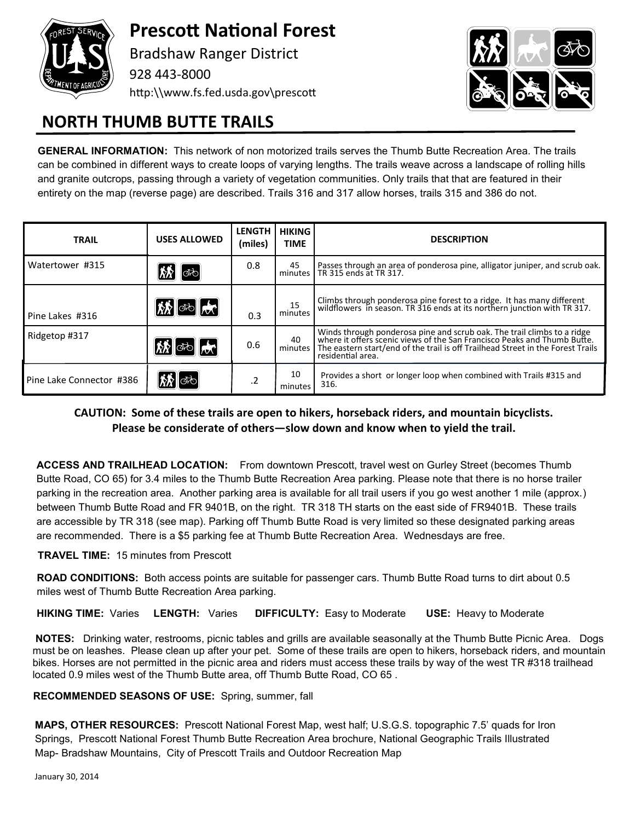

**Prescott National Forest**

Bradshaw Ranger District 928 443-8000 http:\\www.fs.fed.usda.gov\prescott



## **NORTH THUMB BUTTE TRAILS**

**GENERAL INFORMATION:** This network of non motorized trails serves the Thumb Butte Recreation Area. The trails can be combined in different ways to create loops of varying lengths. The trails weave across a landscape of rolling hills and granite outcrops, passing through a variety of vegetation communities. Only trails that that are featured in their entirety on the map (reverse page) are described. Trails 316 and 317 allow horses, trails 315 and 386 do not.

| <b>TRAIL</b>             | <b>USES ALLOWED</b>         | <b>LENGTH</b><br>(miles) | <b>HIKING</b><br><b>TIME</b> | <b>DESCRIPTION</b>                                                                                                                                                                                                                                                    |
|--------------------------|-----------------------------|--------------------------|------------------------------|-----------------------------------------------------------------------------------------------------------------------------------------------------------------------------------------------------------------------------------------------------------------------|
| Watertower #315          | $ \hat{\chi}^*_{X} $<br>ক্ষ | 0.8                      | 45                           | Passes through an area of ponderosa pine, alligator juniper, and scrub oak.<br>minutes TR 315 ends at TR 317.                                                                                                                                                         |
| Pine Lakes #316          | 【烧】 ◎ 【太】                   | 0.3                      | 15<br>minutes                | Climbs through ponderosa pine forest to a ridge. It has many different<br>wildflowers in season. TR 316 ends at its northern junction with TR 317.                                                                                                                    |
| Ridgetop #317            | ▓▓░░▓░                      | 0.6                      | 40                           | Winds through ponderosa pine and scrub oak. The trail climbs to a ridge<br>where it offers scenic views of the San Francisco Peaks and Thumb Butte.<br>minutes   The eastern start/end of the trail is off Trailhead Street in the Forest Trails<br>residential area. |
| Pine Lake Connector #386 | 林∞ あ                        | $\cdot$ .2               | 10<br>minutes                | Provides a short or longer loop when combined with Trails #315 and<br>316.                                                                                                                                                                                            |

## **CAUTION: Some of these trails are open to hikers, horseback riders, and mountain bicyclists. Please be considerate of others—slow down and know when to yield the trail.**

**ACCESS AND TRAILHEAD LOCATION:** From downtown Prescott, travel west on Gurley Street (becomes Thumb Butte Road, CO 65) for 3.4 miles to the Thumb Butte Recreation Area parking. Please note that there is no horse trailer parking in the recreation area. Another parking area is available for all trail users if you go west another 1 mile (approx.) between Thumb Butte Road and FR 9401B, on the right. TR 318 TH starts on the east side of FR9401B. These trails are accessible by TR 318 (see map). Parking off Thumb Butte Road is very limited so these designated parking areas are recommended. There is a \$5 parking fee at Thumb Butte Recreation Area. Wednesdays are free.

## **TRAVEL TIME:** 15 minutes from Prescott

**ROAD CONDITIONS:** Both access points are suitable for passenger cars. Thumb Butte Road turns to dirt about 0.5 miles west of Thumb Butte Recreation Area parking.

**HIKING TIME:** Varies **LENGTH:** Varies **DIFFICULTY:** Easy to Moderate **USE:** Heavy to Moderate

**NOTES:** Drinking water, restrooms, picnic tables and grills are available seasonally at the Thumb Butte Picnic Area. Dogs must be on leashes. Please clean up after your pet. Some of these trails are open to hikers, horseback riders, and mountain bikes. Horses are not permitted in the picnic area and riders must access these trails by way of the west TR #318 trailhead located 0.9 miles west of the Thumb Butte area, off Thumb Butte Road, CO 65 .

## **RECOMMENDED SEASONS OF USE:** Spring, summer, fall

**MAPS, OTHER RESOURCES:** Prescott National Forest Map, west half; U.S.G.S. topographic 7.5' quads for Iron Springs, Prescott National Forest Thumb Butte Recreation Area brochure, National Geographic Trails Illustrated Map- Bradshaw Mountains, City of Prescott Trails and Outdoor Recreation Map